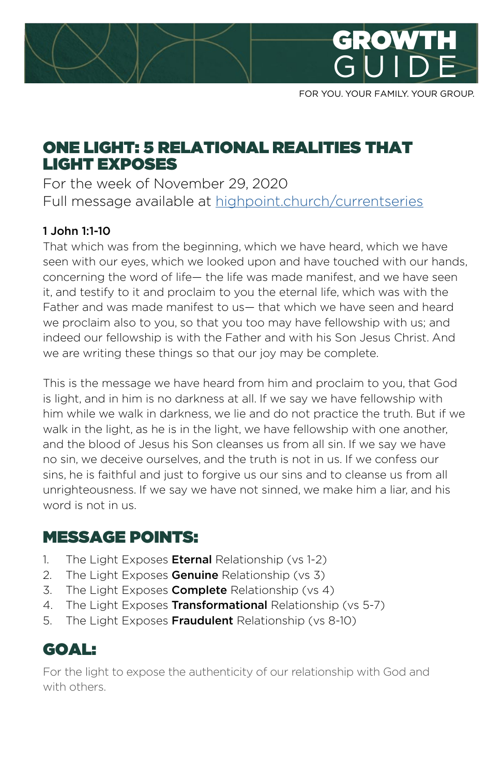

FOR YOU. YOUR FAMILY. YOUR GROUP.

### ONE LIGHT: 5 RELATIONAL REALITIES THAT LIGHT EXPOSES

For the week of November 29, 2020 Full message available at [highpoint.church/currentseries](http://highpoint.church/currentseries)

#### 1 John 1:1-10

That which was from the beginning, which we have heard, which we have seen with our eyes, which we looked upon and have touched with our hands, concerning the word of life— the life was made manifest, and we have seen it, and testify to it and proclaim to you the eternal life, which was with the Father and was made manifest to us— that which we have seen and heard we proclaim also to you, so that you too may have fellowship with us; and indeed our fellowship is with the Father and with his Son Jesus Christ. And we are writing these things so that our joy may be complete.

This is the message we have heard from him and proclaim to you, that God is light, and in him is no darkness at all. If we say we have fellowship with him while we walk in darkness, we lie and do not practice the truth. But if we walk in the light, as he is in the light, we have fellowship with one another, and the blood of Jesus his Son cleanses us from all sin. If we say we have no sin, we deceive ourselves, and the truth is not in us. If we confess our sins, he is faithful and just to forgive us our sins and to cleanse us from all unrighteousness. If we say we have not sinned, we make him a liar, and his word is not in us.

### MESSAGE POINTS:

- 1. The Light Exposes **Eternal** Relationship (vs 1-2)
- 2. The Light Exposes Genuine Relationship (vs 3)
- 3. The Light Exposes **Complete** Relationship (vs 4)
- 4. The Light Exposes Transformational Relationship (vs 5-7)
- 5. The Light Exposes Fraudulent Relationship (vs 8-10)

### GOAL:

For the light to expose the authenticity of our relationship with God and with others.